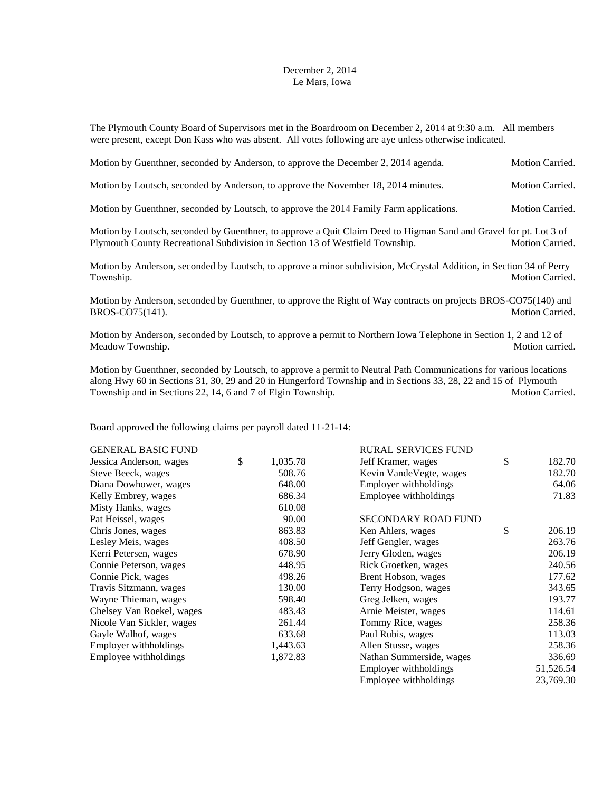## December 2, 2014 Le Mars, Iowa

The Plymouth County Board of Supervisors met in the Boardroom on December 2, 2014 at 9:30 a.m. All members were present, except Don Kass who was absent. All votes following are aye unless otherwise indicated.

| Motion by Guenthner, seconded by Anderson, to approve the December 2, 2014 agenda.                                                                                                                 | Motion Carried. |
|----------------------------------------------------------------------------------------------------------------------------------------------------------------------------------------------------|-----------------|
| Motion by Loutsch, seconded by Anderson, to approve the November 18, 2014 minutes.                                                                                                                 | Motion Carried. |
| Motion by Guenthner, seconded by Loutsch, to approve the 2014 Family Farm applications.                                                                                                            | Motion Carried. |
| Motion by Loutsch, seconded by Guenthner, to approve a Quit Claim Deed to Higman Sand and Gravel for pt. Lot 3 of<br>Plymouth County Recreational Subdivision in Section 13 of Westfield Township. | Motion Carried. |
| Motion by Anderson, seconded by Loutsch, to approve a minor subdivision, McCrystal Addition, in Section 34 of Perry<br>Township.                                                                   | Motion Carried. |
| Motion by Anderson, seconded by Guenthner, to approve the Right of Way contracts on projects BROS-CO75(140) and<br>BROS-CO75(141).                                                                 | Motion Carried. |
|                                                                                                                                                                                                    |                 |

Motion by Anderson, seconded by Loutsch, to approve a permit to Northern Iowa Telephone in Section 1, 2 and 12 of Meadow Township. Motion carried. The Motion carried.

Motion by Guenthner, seconded by Loutsch, to approve a permit to Neutral Path Communications for various locations along Hwy 60 in Sections 31, 30, 29 and 20 in Hungerford Township and in Sections 33, 28, 22 and 15 of Plymouth Township and in Sections 22, 14, 6 and 7 of Elgin Township. Motion Carried.

Board approved the following claims per payroll dated 11-21-14:

| <b>GENERAL BASIC FUND</b> |                | <b>RURAL SERVICES FUND</b> |              |
|---------------------------|----------------|----------------------------|--------------|
| Jessica Anderson, wages   | \$<br>1,035.78 | Jeff Kramer, wages         | \$<br>182.70 |
| Steve Beeck, wages        | 508.76         | Kevin VandeVegte, wages    | 182.70       |
| Diana Dowhower, wages     | 648.00         | Employer withholdings      | 64.06        |
| Kelly Embrey, wages       | 686.34         | Employee withholdings      | 71.83        |
| Misty Hanks, wages        | 610.08         |                            |              |
| Pat Heissel, wages        | 90.00          | <b>SECONDARY ROAD FUND</b> |              |
| Chris Jones, wages        | 863.83         | Ken Ahlers, wages          | \$<br>206.19 |
| Lesley Meis, wages        | 408.50         | Jeff Gengler, wages        | 263.76       |
| Kerri Petersen, wages     | 678.90         | Jerry Gloden, wages        | 206.19       |
| Connie Peterson, wages    | 448.95         | Rick Groetken, wages       | 240.56       |
| Connie Pick, wages        | 498.26         | Brent Hobson, wages        | 177.62       |
| Travis Sitzmann, wages    | 130.00         | Terry Hodgson, wages       | 343.65       |
| Wayne Thieman, wages      | 598.40         | Greg Jelken, wages         | 193.77       |
| Chelsey Van Roekel, wages | 483.43         | Arnie Meister, wages       | 114.61       |
| Nicole Van Sickler, wages | 261.44         | Tommy Rice, wages          | 258.36       |
| Gayle Walhof, wages       | 633.68         | Paul Rubis, wages          | 113.03       |
| Employer withholdings     | 1,443.63       | Allen Stusse, wages        | 258.36       |
| Employee withholdings     | 1,872.83       | Nathan Summerside, wages   | 336.69       |
|                           |                | Employer withholdings      | 51,526.54    |
|                           |                | Employee withholdings      | 23,769.30    |
|                           |                |                            |              |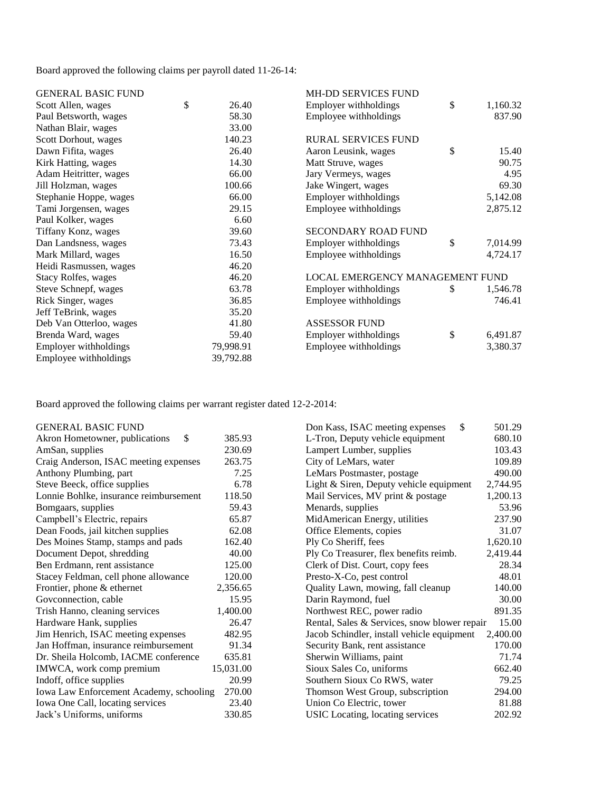Board approved the following claims per payroll dated 11-26-14:

| <b>GENERAL BASIC FUND</b>  |             | <b>MH-DD SERVICES FUND</b>      |                |
|----------------------------|-------------|---------------------------------|----------------|
| Scott Allen, wages         | \$<br>26.40 | Employer withholdings           | \$<br>1,160.32 |
| Paul Betsworth, wages      | 58.30       | Employee withholdings           | 837.90         |
| Nathan Blair, wages        | 33.00       |                                 |                |
| Scott Dorhout, wages       | 140.23      | <b>RURAL SERVICES FUND</b>      |                |
| Dawn Fifita, wages         | 26.40       | Aaron Leusink, wages            | \$<br>15.40    |
| Kirk Hatting, wages        | 14.30       | Matt Struve, wages              | 90.75          |
| Adam Heitritter, wages     | 66.00       | Jary Vermeys, wages             | 4.95           |
| Jill Holzman, wages        | 100.66      | Jake Wingert, wages             | 69.30          |
| Stephanie Hoppe, wages     | 66.00       | Employer withholdings           | 5,142.08       |
| Tami Jorgensen, wages      | 29.15       | Employee withholdings           | 2,875.12       |
| Paul Kolker, wages         | 6.60        |                                 |                |
| Tiffany Konz, wages        | 39.60       | <b>SECONDARY ROAD FUND</b>      |                |
| Dan Landsness, wages       | 73.43       | Employer withholdings           | \$<br>7,014.99 |
| Mark Millard, wages        | 16.50       | Employee withholdings           | 4,724.17       |
| Heidi Rasmussen, wages     | 46.20       |                                 |                |
| <b>Stacy Rolfes, wages</b> | 46.20       | LOCAL EMERGENCY MANAGEMENT FUND |                |
| Steve Schnepf, wages       | 63.78       | Employer withholdings           | \$<br>1,546.78 |
| Rick Singer, wages         | 36.85       | Employee withholdings           | 746.41         |
| Jeff TeBrink, wages        | 35.20       |                                 |                |
| Deb Van Otterloo, wages    | 41.80       | <b>ASSESSOR FUND</b>            |                |
| Brenda Ward, wages         | 59.40       | Employer withholdings           | \$<br>6,491.87 |
| Employer withholdings      | 79,998.91   | Employee withholdings           | 3,380.37       |
| Employee withholdings      | 39,792.88   |                                 |                |

Board approved the following claims per warrant register dated 12-2-2014:

| <b>GENERAL BASIC FUND</b>               |           | \$<br>Don Kass, ISAC meeting expenses        | 501.29   |
|-----------------------------------------|-----------|----------------------------------------------|----------|
| \$<br>Akron Hometowner, publications    | 385.93    | L-Tron, Deputy vehicle equipment             | 680.10   |
| AmSan, supplies                         | 230.69    | Lampert Lumber, supplies                     | 103.43   |
| Craig Anderson, ISAC meeting expenses   | 263.75    | City of LeMars, water                        | 109.89   |
| Anthony Plumbing, part                  | 7.25      | LeMars Postmaster, postage                   | 490.00   |
| Steve Beeck, office supplies            | 6.78      | Light & Siren, Deputy vehicle equipment      | 2,744.95 |
| Lonnie Bohlke, insurance reimbursement  | 118.50    | Mail Services, MV print & postage            | 1,200.13 |
| Bomgaars, supplies                      | 59.43     | Menards, supplies                            | 53.96    |
| Campbell's Electric, repairs            | 65.87     | MidAmerican Energy, utilities                | 237.90   |
| Dean Foods, jail kitchen supplies       | 62.08     | Office Elements, copies                      | 31.07    |
| Des Moines Stamp, stamps and pads       | 162.40    | Ply Co Sheriff, fees                         | 1,620.10 |
| Document Depot, shredding               | 40.00     | Ply Co Treasurer, flex benefits reimb.       | 2,419.44 |
| Ben Erdmann, rent assistance            | 125.00    | Clerk of Dist. Court, copy fees              | 28.34    |
| Stacey Feldman, cell phone allowance    | 120.00    | Presto-X-Co, pest control                    | 48.01    |
| Frontier, phone & ethernet              | 2,356.65  | Quality Lawn, mowing, fall cleanup           | 140.00   |
| Govconnection, cable                    | 15.95     | Darin Raymond, fuel                          | 30.00    |
| Trish Hanno, cleaning services          | 1,400.00  | Northwest REC, power radio                   | 891.35   |
| Hardware Hank, supplies                 | 26.47     | Rental, Sales & Services, snow blower repair | 15.00    |
| Jim Henrich, ISAC meeting expenses      | 482.95    | Jacob Schindler, install vehicle equipment   | 2,400.00 |
| Jan Hoffman, insurance reimbursement    | 91.34     | Security Bank, rent assistance               | 170.00   |
| Dr. Sheila Holcomb, IACME conference    | 635.81    | Sherwin Williams, paint                      | 71.74    |
| IMWCA, work comp premium                | 15,031.00 | Sioux Sales Co, uniforms                     | 662.40   |
| Indoff, office supplies                 | 20.99     | Southern Sioux Co RWS, water                 | 79.25    |
| Iowa Law Enforcement Academy, schooling | 270.00    | Thomson West Group, subscription             | 294.00   |
| Iowa One Call, locating services        | 23.40     | Union Co Electric, tower                     | 81.88    |
| Jack's Uniforms, uniforms               | 330.85    | USIC Locating, locating services             | 202.92   |